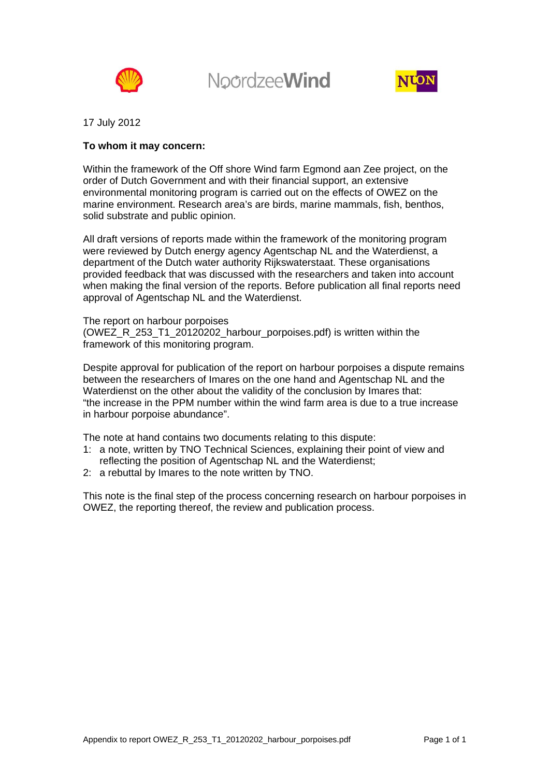

**NoordzeeWind** 



17 July 2012

#### **To whom it may concern:**

Within the framework of the Off shore Wind farm Egmond aan Zee project, on the order of Dutch Government and with their financial support, an extensive environmental monitoring program is carried out on the effects of OWEZ on the marine environment. Research area's are birds, marine mammals, fish, benthos, solid substrate and public opinion.

All draft versions of reports made within the framework of the monitoring program were reviewed by Dutch energy agency Agentschap NL and the Waterdienst, a department of the Dutch water authority Rijkswaterstaat. These organisations provided feedback that was discussed with the researchers and taken into account when making the final version of the reports. Before publication all final reports need approval of Agentschap NL and the Waterdienst.

The report on harbour porpoises (OWEZ\_R\_253\_T1\_20120202\_harbour\_porpoises.pdf) is written within the framework of this monitoring program.

Despite approval for publication of the report on harbour porpoises a dispute remains between the researchers of Imares on the one hand and Agentschap NL and the Waterdienst on the other about the validity of the conclusion by Imares that: "the increase in the PPM number within the wind farm area is due to a true increase in harbour porpoise abundance".

The note at hand contains two documents relating to this dispute:

- 1: a note, written by TNO Technical Sciences, explaining their point of view and reflecting the position of Agentschap NL and the Waterdienst;
- 2: a rebuttal by Imares to the note written by TNO.

This note is the final step of the process concerning research on harbour porpoises in OWEZ, the reporting thereof, the review and publication process.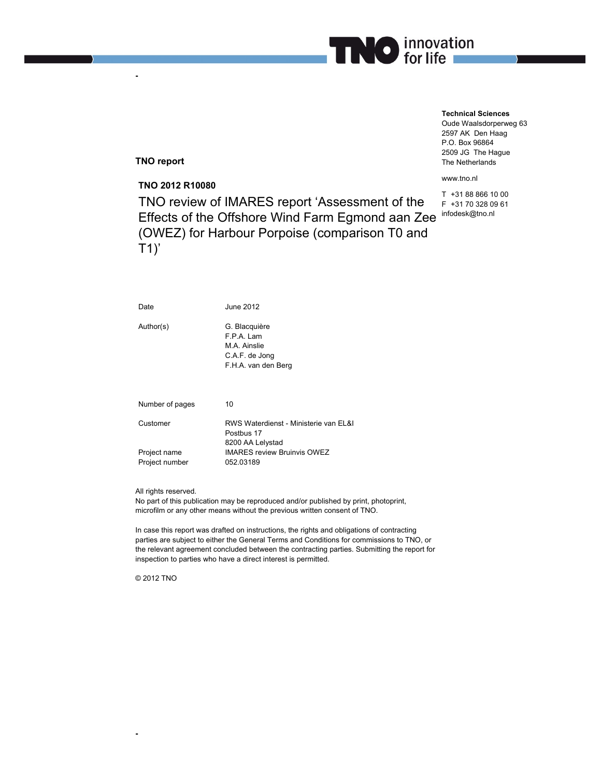

#### **Technical Sciences**

Oude Waalsdorperweg 63 2597 AK Den Haag P.O. Box 96864 2509 JG The Hague The Netherlands

www.tno.nl

T +31 88 866 10 00 F +31 70 328 09 61 infodesk@tno.nl

**TNO report** 

**-** 

**TNO 2012 R10080**  TNO review of IMARES report 'Assessment of the Effects of the Offshore Wind Farm Egmond aan Zee (OWEZ) for Harbour Porpoise (comparison T0 and  $T1$ )'

| Date                           | June 2012                                                                                                     |
|--------------------------------|---------------------------------------------------------------------------------------------------------------|
| Author(s)                      | G. Blacquière<br>F.P.A. Lam<br>M.A. Ainslie<br>C.A.F. de Jong<br>F.H.A. van den Berg                          |
| Number of pages                | 10                                                                                                            |
| Customer                       | RWS Waterdienst - Ministerie van EL&I<br>Postbus 17<br>8200 AA Lelystad<br><b>IMARES review Bruinvis OWEZ</b> |
| Project name<br>Project number | 052.03189                                                                                                     |

All rights reserved.

No part of this publication may be reproduced and/or published by print, photoprint, microfilm or any other means without the previous written consent of TNO.

In case this report was drafted on instructions, the rights and obligations of contracting parties are subject to either the General Terms and Conditions for commissions to TNO, or the relevant agreement concluded between the contracting parties. Submitting the report for inspection to parties who have a direct interest is permitted.

© 2012 TNO

**-**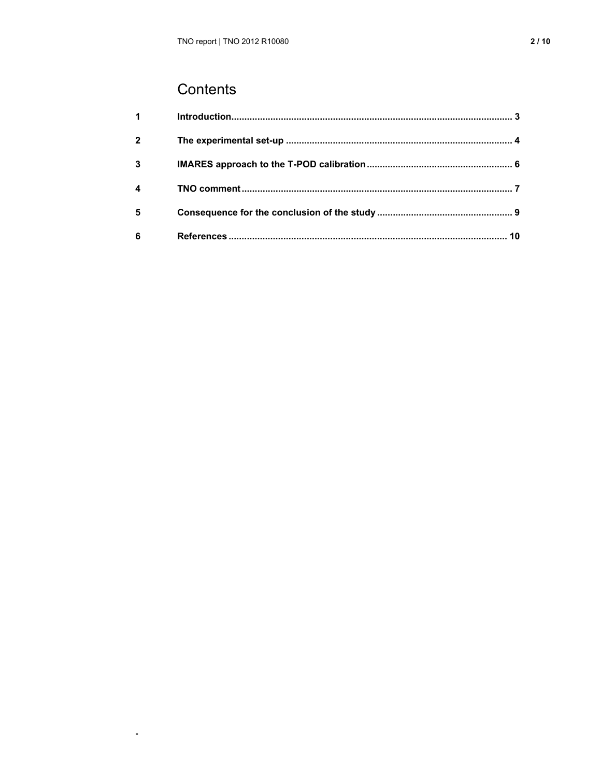# Contents

 $\hat{\mathcal{L}}$ 

| $1 \quad \blacksquare$ |  |
|------------------------|--|
| $\overline{2}$         |  |
| 3                      |  |
| 4                      |  |
| 5                      |  |
| 6                      |  |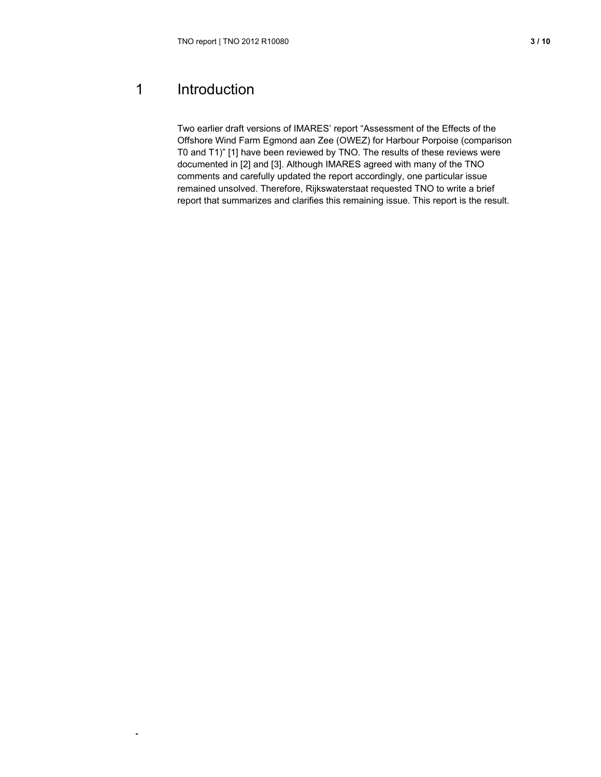# 1 Introduction

**-** 

Two earlier draft versions of IMARES' report "Assessment of the Effects of the Offshore Wind Farm Egmond aan Zee (OWEZ) for Harbour Porpoise (comparison T0 and T1)" [1] have been reviewed by TNO. The results of these reviews were documented in [2] and [3]. Although IMARES agreed with many of the TNO comments and carefully updated the report accordingly, one particular issue remained unsolved. Therefore, Rijkswaterstaat requested TNO to write a brief report that summarizes and clarifies this remaining issue. This report is the result.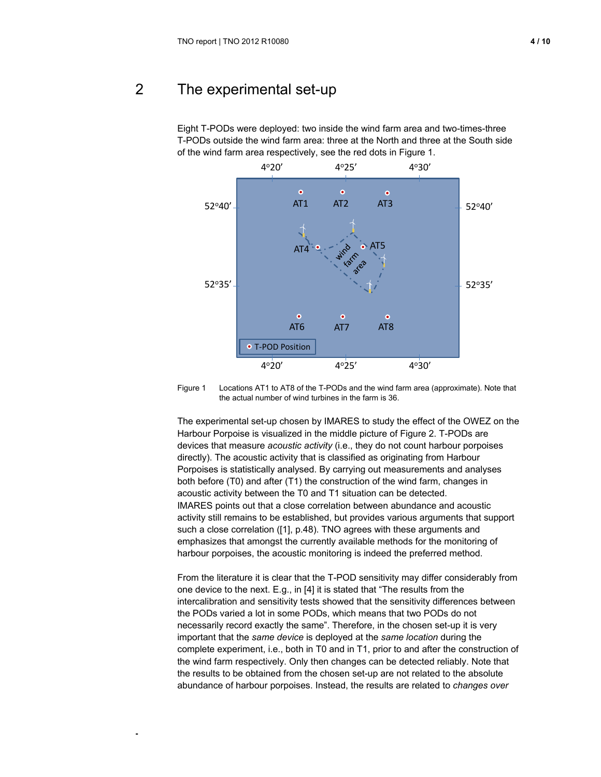# 2 The experimental set-up

**-** 

Eight T-PODs were deployed: two inside the wind farm area and two-times-three T-PODs outside the wind farm area: three at the North and three at the South side of the wind farm area respectively, see the red dots in Figure 1.



Figure 1 Locations AT1 to AT8 of the T-PODs and the wind farm area (approximate). Note that the actual number of wind turbines in the farm is 36.

The experimental set-up chosen by IMARES to study the effect of the OWEZ on the Harbour Porpoise is visualized in the middle picture of Figure 2. T-PODs are devices that measure *acoustic activity* (i.e., they do not count harbour porpoises directly). The acoustic activity that is classified as originating from Harbour Porpoises is statistically analysed. By carrying out measurements and analyses both before (T0) and after (T1) the construction of the wind farm, changes in acoustic activity between the T0 and T1 situation can be detected. IMARES points out that a close correlation between abundance and acoustic activity still remains to be established, but provides various arguments that support such a close correlation ([1], p.48). TNO agrees with these arguments and emphasizes that amongst the currently available methods for the monitoring of harbour porpoises, the acoustic monitoring is indeed the preferred method.

From the literature it is clear that the T-POD sensitivity may differ considerably from one device to the next. E.g., in [4] it is stated that "The results from the intercalibration and sensitivity tests showed that the sensitivity differences between the PODs varied a lot in some PODs, which means that two PODs do not necessarily record exactly the same". Therefore, in the chosen set-up it is very important that the *same device* is deployed at the *same location* during the complete experiment, i.e., both in T0 and in T1, prior to and after the construction of the wind farm respectively. Only then changes can be detected reliably. Note that the results to be obtained from the chosen set-up are not related to the absolute abundance of harbour porpoises. Instead, the results are related to *changes over*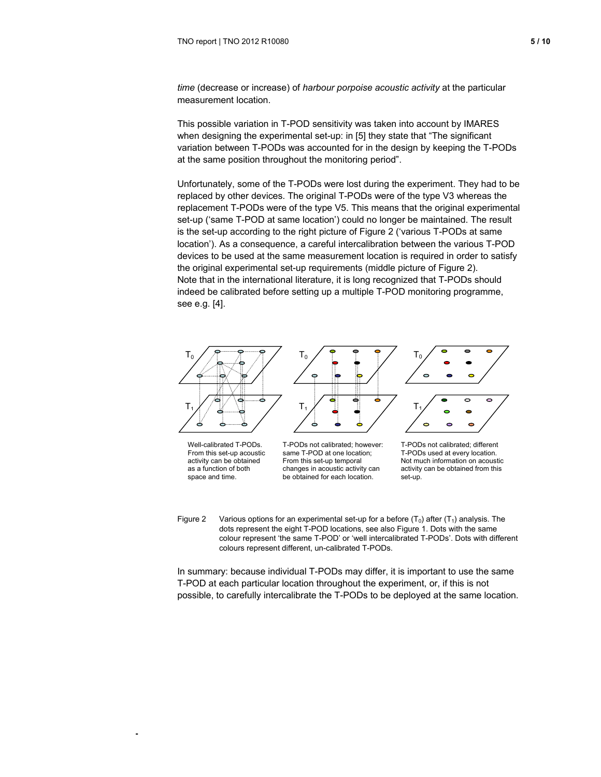*time* (decrease or increase) of *harbour porpoise acoustic activity* at the particular measurement location.

This possible variation in T-POD sensitivity was taken into account by IMARES when designing the experimental set-up: in [5] they state that "The significant variation between T-PODs was accounted for in the design by keeping the T-PODs at the same position throughout the monitoring period".

Unfortunately, some of the T-PODs were lost during the experiment. They had to be replaced by other devices. The original T-PODs were of the type V3 whereas the replacement T-PODs were of the type V5. This means that the original experimental set-up ('same T-POD at same location') could no longer be maintained. The result is the set-up according to the right picture of Figure 2 ('various T-PODs at same location'). As a consequence, a careful intercalibration between the various T-POD devices to be used at the same measurement location is required in order to satisfy the original experimental set-up requirements (middle picture of Figure 2). Note that in the international literature, it is long recognized that T-PODs should indeed be calibrated before setting up a multiple T-POD monitoring programme, see e.g. [4].



From this set-up acoustic activity can be obtained as a function of both space and time.

**-** 

same T-POD at one location; From this set-up temporal changes in acoustic activity can be obtained for each location.

T-PODs used at every location. Not much information on acoustic activity can be obtained from this set-up.

Figure 2 Various options for an experimental set-up for a before  $(T_0)$  after  $(T_1)$  analysis. The dots represent the eight T-POD locations, see also Figure 1. Dots with the same colour represent 'the same T-POD' or 'well intercalibrated T-PODs'. Dots with different colours represent different, un-calibrated T-PODs.

In summary: because individual T-PODs may differ, it is important to use the same T-POD at each particular location throughout the experiment, or, if this is not possible, to carefully intercalibrate the T-PODs to be deployed at the same location.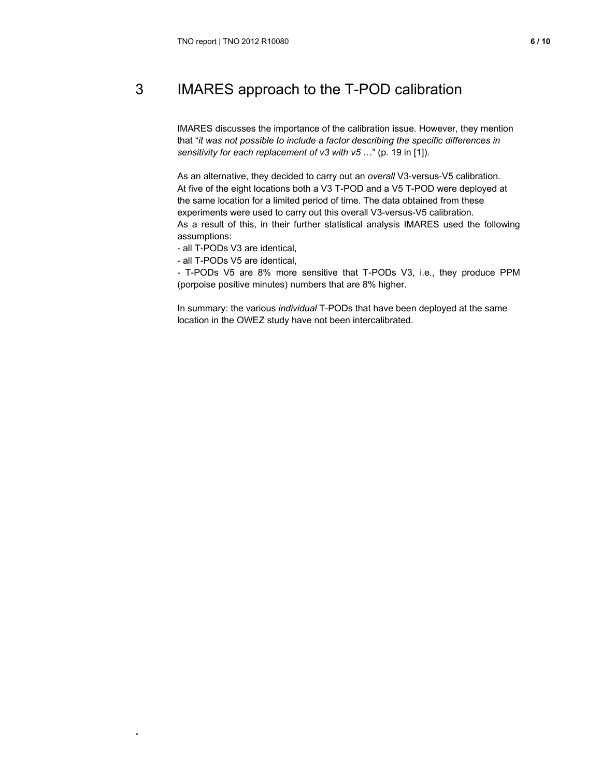# 3 IMARES approach to the T-POD calibration

IMARES discusses the importance of the calibration issue. However, they mention that "*it was not possible to include a factor describing the specific differences in sensitivity for each replacement of v3 with v5* …" (p. 19 in [1]).

As an alternative, they decided to carry out an *overall* V3-versus-V5 calibration. At five of the eight locations both a V3 T-POD and a V5 T-POD were deployed at the same location for a limited period of time. The data obtained from these experiments were used to carry out this overall V3-versus-V5 calibration. As a result of this, in their further statistical analysis IMARES used the following assumptions:

- all T-PODs V3 are identical,

- all T-PODs V5 are identical,

**-** 

- T-PODs V5 are 8% more sensitive that T-PODs V3, i.e., they produce PPM (porpoise positive minutes) numbers that are 8% higher.

In summary: the various *individual* T-PODs that have been deployed at the same location in the OWEZ study have not been intercalibrated.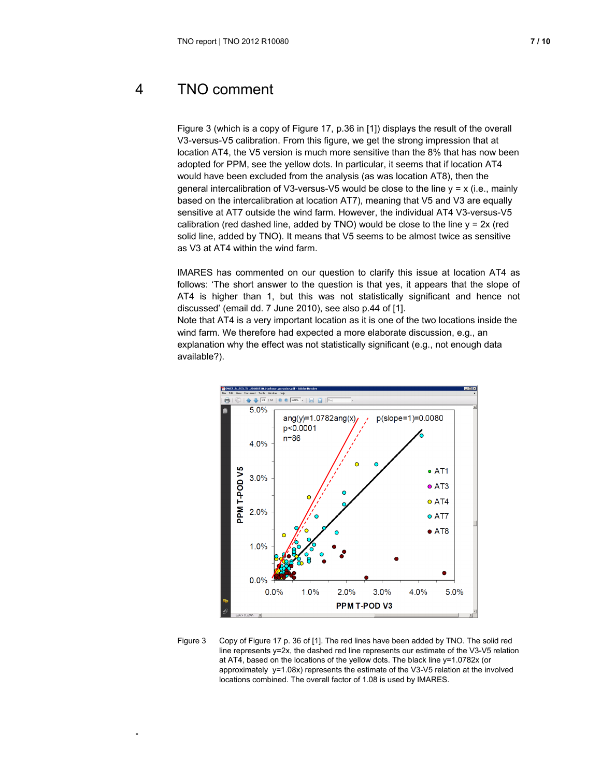**-** 

Figure 3 (which is a copy of Figure 17, p.36 in [1]) displays the result of the overall V3-versus-V5 calibration. From this figure, we get the strong impression that at location AT4, the V5 version is much more sensitive than the 8% that has now been adopted for PPM, see the yellow dots. In particular, it seems that if location AT4 would have been excluded from the analysis (as was location AT8), then the general intercalibration of V3-versus-V5 would be close to the line  $y = x$  (i.e., mainly based on the intercalibration at location AT7), meaning that V5 and V3 are equally sensitive at AT7 outside the wind farm. However, the individual AT4 V3-versus-V5 calibration (red dashed line, added by TNO) would be close to the line  $y = 2x$  (red solid line, added by TNO). It means that V5 seems to be almost twice as sensitive as V3 at AT4 within the wind farm.

IMARES has commented on our question to clarify this issue at location AT4 as follows: 'The short answer to the question is that yes, it appears that the slope of AT4 is higher than 1, but this was not statistically significant and hence not discussed' (email dd. 7 June 2010), see also p.44 of [1].

Note that AT4 is a very important location as it is one of the two locations inside the wind farm. We therefore had expected a more elaborate discussion, e.g., an explanation why the effect was not statistically significant (e.g., not enough data available?).



Figure 3 Copy of Figure 17 p. 36 of [1]. The red lines have been added by TNO. The solid red line represents y=2x, the dashed red line represents our estimate of the V3-V5 relation at AT4, based on the locations of the yellow dots. The black line y=1.0782x (or approximately y=1.08x) represents the estimate of the V3-V5 relation at the involved locations combined. The overall factor of 1.08 is used by IMARES.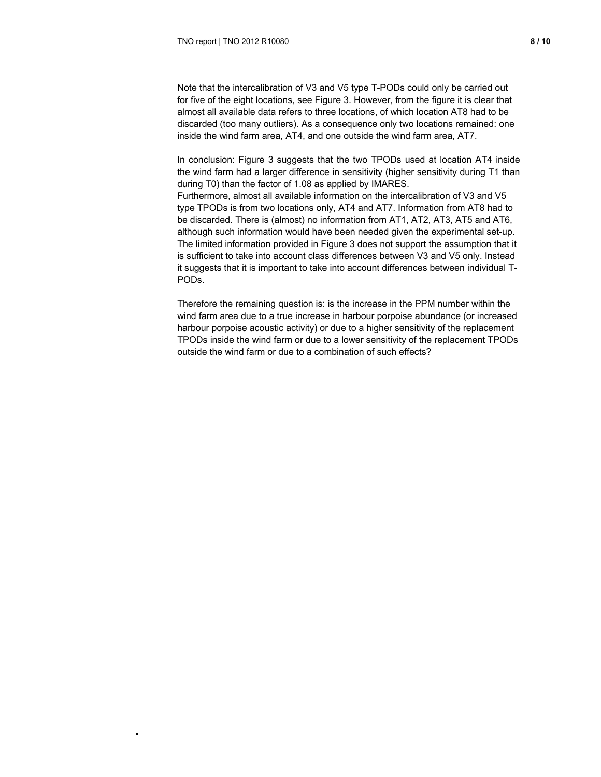**-** 

Note that the intercalibration of V3 and V5 type T-PODs could only be carried out for five of the eight locations, see Figure 3. However, from the figure it is clear that almost all available data refers to three locations, of which location AT8 had to be discarded (too many outliers). As a consequence only two locations remained: one inside the wind farm area, AT4, and one outside the wind farm area, AT7.

In conclusion: Figure 3 suggests that the two TPODs used at location AT4 inside the wind farm had a larger difference in sensitivity (higher sensitivity during T1 than during T0) than the factor of 1.08 as applied by IMARES.

Furthermore, almost all available information on the intercalibration of V3 and V5 type TPODs is from two locations only, AT4 and AT7. Information from AT8 had to be discarded. There is (almost) no information from AT1, AT2, AT3, AT5 and AT6, although such information would have been needed given the experimental set-up. The limited information provided in Figure 3 does not support the assumption that it is sufficient to take into account class differences between V3 and V5 only. Instead it suggests that it is important to take into account differences between individual T-PODs.

Therefore the remaining question is: is the increase in the PPM number within the wind farm area due to a true increase in harbour porpoise abundance (or increased harbour porpoise acoustic activity) or due to a higher sensitivity of the replacement TPODs inside the wind farm or due to a lower sensitivity of the replacement TPODs outside the wind farm or due to a combination of such effects?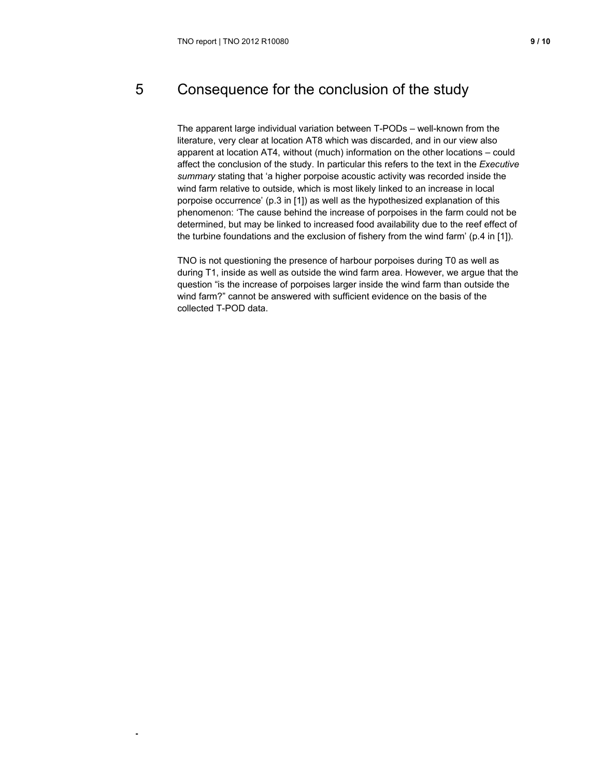**-** 

# 5 Consequence for the conclusion of the study

The apparent large individual variation between T-PODs – well-known from the literature, very clear at location AT8 which was discarded, and in our view also apparent at location AT4, without (much) information on the other locations – could affect the conclusion of the study. In particular this refers to the text in the *Executive summary* stating that 'a higher porpoise acoustic activity was recorded inside the wind farm relative to outside, which is most likely linked to an increase in local porpoise occurrence' (p.3 in [1]) as well as the hypothesized explanation of this phenomenon: 'The cause behind the increase of porpoises in the farm could not be determined, but may be linked to increased food availability due to the reef effect of the turbine foundations and the exclusion of fishery from the wind farm' (p.4 in [1]).

TNO is not questioning the presence of harbour porpoises during T0 as well as during T1, inside as well as outside the wind farm area. However, we argue that the question "is the increase of porpoises larger inside the wind farm than outside the wind farm?" cannot be answered with sufficient evidence on the basis of the collected T-POD data.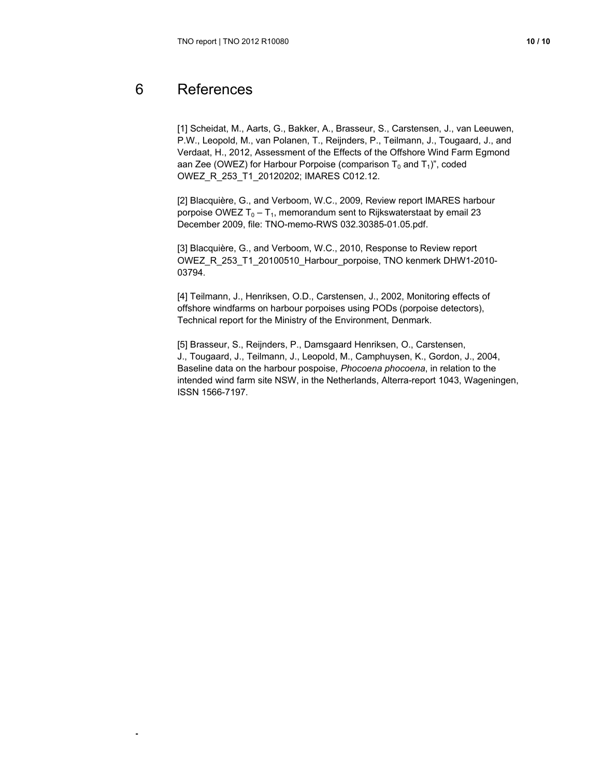# 6 References

**-** 

[1] Scheidat, M., Aarts, G., Bakker, A., Brasseur, S., Carstensen, J., van Leeuwen, P.W., Leopold, M., van Polanen, T., Reijnders, P., Teilmann, J., Tougaard, J., and Verdaat, H., 2012, Assessment of the Effects of the Offshore Wind Farm Egmond aan Zee (OWEZ) for Harbour Porpoise (comparison  $T_0$  and  $T_1$ )", coded OWEZ\_R\_253\_T1\_20120202; IMARES C012.12.

[2] Blacquière, G., and Verboom, W.C., 2009, Review report IMARES harbour porpoise OWEZ  $T_0 - T_1$ , memorandum sent to Rijkswaterstaat by email 23 December 2009, file: TNO-memo-RWS 032.30385-01.05.pdf.

[3] Blacquière, G., and Verboom, W.C., 2010, Response to Review report OWEZ\_R\_253\_T1\_20100510\_Harbour\_porpoise, TNO kenmerk DHW1-2010- 03794.

[4] Teilmann, J., Henriksen, O.D., Carstensen, J., 2002, Monitoring effects of offshore windfarms on harbour porpoises using PODs (porpoise detectors), Technical report for the Ministry of the Environment, Denmark.

[5] Brasseur, S., Reijnders, P., Damsgaard Henriksen, O., Carstensen, J., Tougaard, J., Teilmann, J., Leopold, M., Camphuysen, K., Gordon, J., 2004, Baseline data on the harbour pospoise, *Phocoena phocoena*, in relation to the intended wind farm site NSW, in the Netherlands, Alterra-report 1043, Wageningen, ISSN 1566-7197.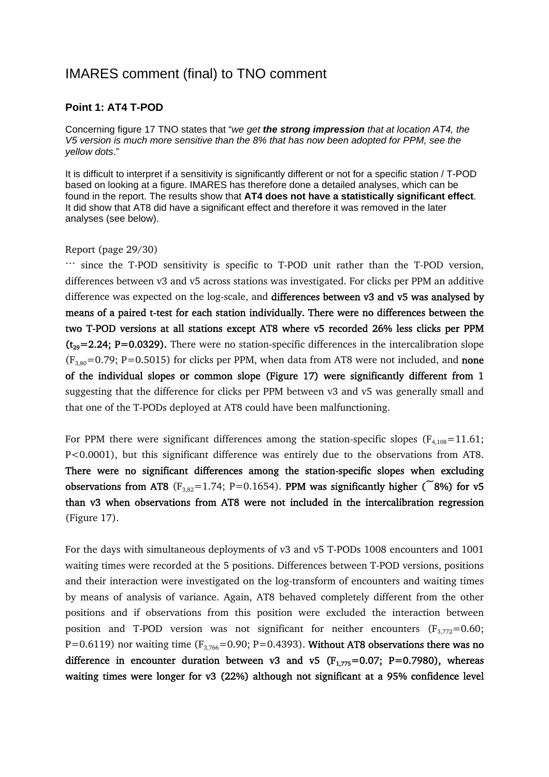# IMARES comment (final) to TNO comment

#### **Point 1: AT4 T-POD**

Concerning figure 17 TNO states that "*we get the strong impression that at location AT4, the V5 version is much more sensitive than the 8% that has now been adopted for PPM, see the yellow dots*."

It is difficult to interpret if a sensitivity is significantly different or not for a specific station / T-POD based on looking at a figure. IMARES has therefore done a detailed analyses, which can be found in the report. The results show that **AT4 does not have a statistically significant effect**. It did show that AT8 did have a significant effect and therefore it was removed in the later analyses (see below).

#### Report (page 29/30)

… since the T-POD sensitivity is specific to T-POD unit rather than the T-POD version, differences between v3 and v5 across stations was investigated. For clicks per PPM an additive difference was expected on the log-scale, and differences between v3 and v5 was analysed by means of a paired t-test for each station individually. There were no differences between the two T-POD versions at all stations except AT8 where v5 recorded 26% less clicks per PPM  $(t_{29}=2.24; P=0.0329)$ . There were no station-specific differences in the intercalibration slope  $(F_{3,80}=0.79; P=0.5015)$  for clicks per PPM, when data from AT8 were not included, and **none** of the individual slopes or common slope (Figure 17) were significantly different from 1 suggesting that the difference for clicks per PPM between v3 and v5 was generally small and that one of the T-PODs deployed at AT8 could have been malfunctioning.

For PPM there were significant differences among the station-specific slopes ( $F_{4,108}=11.61$ ; P<0.0001), but this significant difference was entirely due to the observations from AT8. There were no significant differences among the station-specific slopes when excluding observations from AT8 ( $F_{3,82}=1.74$ ; P=0.1654). PPM was significantly higher ( $\tilde{ }$ 8%) for v5 than v3 when observations from AT8 were not included in the intercalibration regression (Figure 17).

For the days with simultaneous deployments of v3 and v5 T-PODs 1008 encounters and 1001 waiting times were recorded at the 5 positions. Differences between T-POD versions, positions and their interaction were investigated on the log-transform of encounters and waiting times by means of analysis of variance. Again, AT8 behaved completely different from the other positions and if observations from this position were excluded the interaction between position and T-POD version was not significant for neither encounters  $(F_{3,772}=0.60;$ P=0.6119) nor waiting time ( $F_{3,766}$ =0.90; P=0.4393). Without AT8 observations there was no difference in encounter duration between v3 and v5  $(F_{1.775}=0.07; P=0.7980)$ , whereas waiting times were longer for v3 (22%) although not significant at a 95% confidence level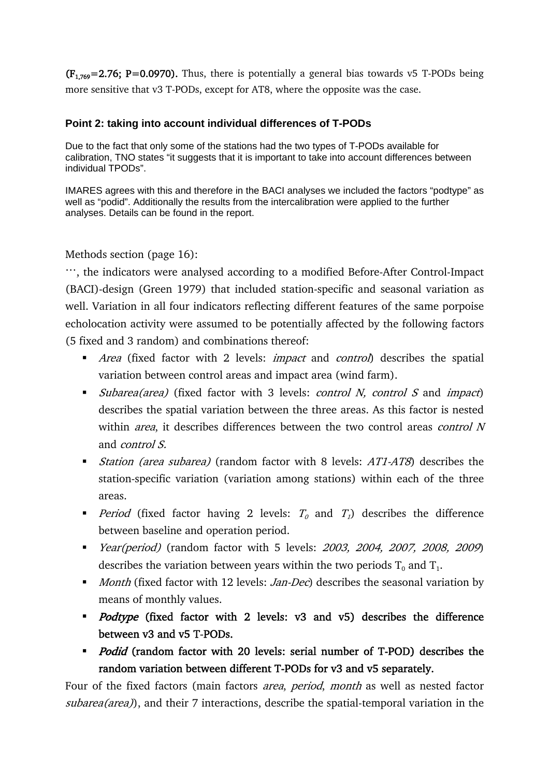$(F_{1.769}=2.76; P=0.0970)$ . Thus, there is potentially a general bias towards v5 T-PODs being more sensitive that v3 T-PODs, except for AT8, where the opposite was the case.

### **Point 2: taking into account individual differences of T-PODs**

Due to the fact that only some of the stations had the two types of T-PODs available for calibration, TNO states "it suggests that it is important to take into account differences between individual TPODs".

IMARES agrees with this and therefore in the BACI analyses we included the factors "podtype" as well as "podid". Additionally the results from the intercalibration were applied to the further analyses. Details can be found in the report.

#### Methods section (page 16):

…, the indicators were analysed according to a modified Before-After Control-Impact (BACI)-design (Green 1979) that included station-specific and seasonal variation as well. Variation in all four indicators reflecting different features of the same porpoise echolocation activity were assumed to be potentially affected by the following factors (5 fixed and 3 random) and combinations thereof:

- Area (fixed factor with 2 levels: *impact* and *control*) describes the spatial variation between control areas and impact area (wind farm).
- $\bullet$  *Subarea(area)* (fixed factor with 3 levels: *control N, control S* and *impact*) describes the spatial variation between the three areas. As this factor is nested within *area*, it describes differences between the two control areas *control N* and control S.
- **Station** (area subarea) (random factor with 8 levels: AT1-AT8) describes the station-specific variation (variation among stations) within each of the three areas.
- Period (fixed factor having 2 levels:  $T_0$  and  $T_1$ ) describes the difference between baseline and operation period.
- Year(period) (random factor with 5 levels: 2003, 2004, 2007, 2008, 2009) describes the variation between years within the two periods  $T_0$  and  $T_1$ .
- Month (fixed factor with 12 levels: Jan-Dec) describes the seasonal variation by means of monthly values.
- Podtype (fixed factor with 2 levels: v3 and v5) describes the difference between v3 and v5 T-PODs.
- *Podid* (random factor with 20 levels: serial number of T-POD) describes the random variation between different T-PODs for v3 and v5 separately.

Four of the fixed factors (main factors *area, period, month* as well as nested factor subarea(area)), and their 7 interactions, describe the spatial-temporal variation in the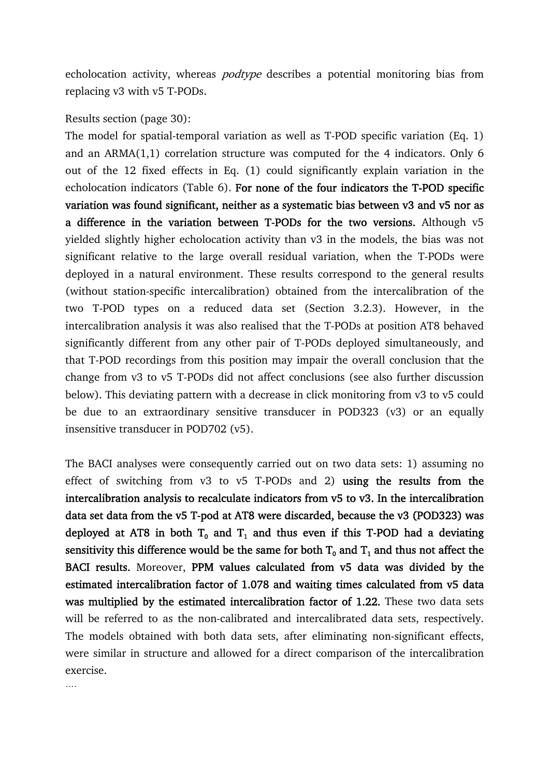echolocation activity, whereas *podtype* describes a potential monitoring bias from replacing v3 with v5 T-PODs.

#### Results section (page 30):

The model for spatial-temporal variation as well as T-POD specific variation (Eq. 1) and an ARMA(1,1) correlation structure was computed for the 4 indicators. Only 6 out of the 12 fixed effects in Eq. (1) could significantly explain variation in the echolocation indicators (Table 6). For none of the four indicators the T-POD specific variation was found significant, neither as a systematic bias between v3 and v5 nor as a difference in the variation between T-PODs for the two versions. Although v5 yielded slightly higher echolocation activity than v3 in the models, the bias was not significant relative to the large overall residual variation, when the T-PODs were deployed in a natural environment. These results correspond to the general results (without station-specific intercalibration) obtained from the intercalibration of the two T-POD types on a reduced data set (Section 3.2.3). However, in the intercalibration analysis it was also realised that the T-PODs at position AT8 behaved significantly different from any other pair of T-PODs deployed simultaneously, and that T-POD recordings from this position may impair the overall conclusion that the change from v3 to v5 T-PODs did not affect conclusions (see also further discussion below). This deviating pattern with a decrease in click monitoring from v3 to v5 could be due to an extraordinary sensitive transducer in POD323 (v3) or an equally insensitive transducer in POD702 (v5).

The BACI analyses were consequently carried out on two data sets: 1) assuming no effect of switching from v3 to v5 T-PODs and 2) using the results from the intercalibration analysis to recalculate indicators from v5 to v3. In the intercalibration data set data from the v5 T-pod at AT8 were discarded, because the v3 (POD323) was deployed at AT8 in both  $T_0$  and  $T_1$  and thus even if this T-POD had a deviating sensitivity this difference would be the same for both  $T_0$  and  $T_1$  and thus not affect the BACI results. Moreover, PPM values calculated from v5 data was divided by the estimated intercalibration factor of 1.078 and waiting times calculated from v5 data was multiplied by the estimated intercalibration factor of 1.22. These two data sets will be referred to as the non-calibrated and intercalibrated data sets, respectively. The models obtained with both data sets, after eliminating non-significant effects, were similar in structure and allowed for a direct comparison of the intercalibration exercise.

….